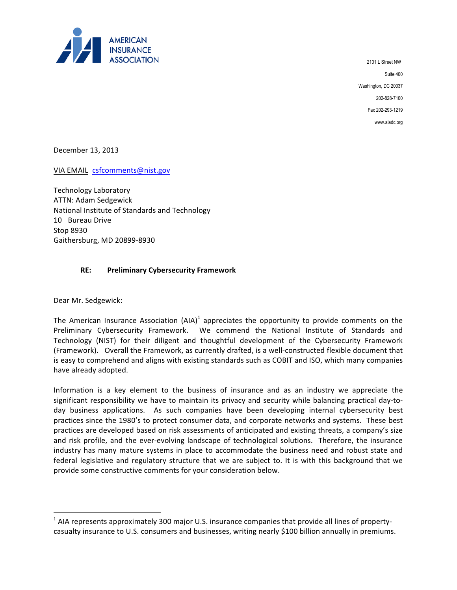

 Washington, DC 20037 202-828-7100 2101 L Street NW Suite 400 Fax 202-293-1219 www.aiadc.org

December 13, 2013

VIA EMAIL csfcomments@nist.gov

Technology Laboratory ATTN: Adam Sedgewick National Institute of Standards and Technology 10 Bureau Drive Stop 8930 Gaithersburg, MD 20899-8930

# **RE: Preliminary Cybersecurity Framework**

Dear Mr. Sedgewick: 

 $\overline{a}$ 

The American Insurance Association  $(AIA)^1$  appreciates the opportunity to provide comments on the Preliminary Cybersecurity Framework. We commend the National Institute of Standards and Technology (NIST) for their diligent and thoughtful development of the Cybersecurity Framework (Framework). Overall the Framework, as currently drafted, is a well-constructed flexible document that is easy to comprehend and aligns with existing standards such as COBIT and ISO, which many companies have already adopted.

Information is a key element to the business of insurance and as an industry we appreciate the significant responsibility we have to maintain its privacy and security while balancing practical day-today business applications. As such companies have been developing internal cybersecurity best practices since the 1980's to protect consumer data, and corporate networks and systems. These best practices are developed based on risk assessments of anticipated and existing threats, a company's size and risk profile, and the ever-evolving landscape of technological solutions. Therefore, the insurance industry has many mature systems in place to accommodate the business need and robust state and federal legislative and regulatory structure that we are subject to. It is with this background that we provide some constructive comments for your consideration below.

 $<sup>1</sup>$  AIA represents approximately 300 major U.S. insurance companies that provide all lines of property-</sup> casualty insurance to U.S. consumers and businesses, writing nearly \$100 billion annually in premiums.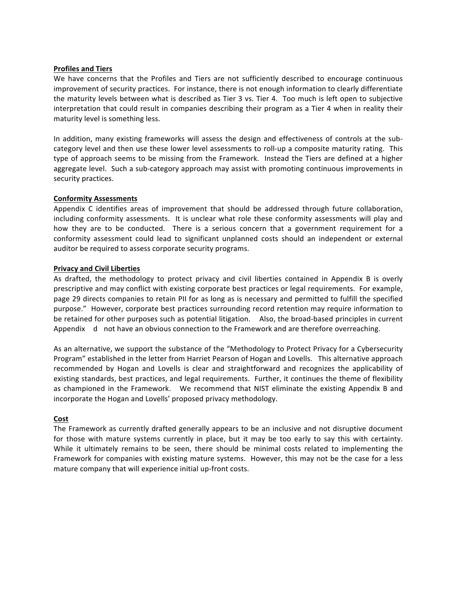#### **Profiles and Tiers**

We have concerns that the Profiles and Tiers are not sufficiently described to encourage continuous improvement of security practices. For instance, there is not enough information to clearly differentiate the maturity levels between what is described as Tier 3 vs. Tier 4. Too much is left open to subjective interpretation that could result in companies describing their program as a Tier 4 when in reality their maturity level is something less.

In addition, many existing frameworks will assess the design and effectiveness of controls at the subcategory level and then use these lower level assessments to roll-up a composite maturity rating. This type of approach seems to be missing from the Framework. Instead the Tiers are defined at a higher aggregate level. Such a sub-category approach may assist with promoting continuous improvements in security practices.

## **Conformity Assessments**

Appendix C identifies areas of improvement that should be addressed through future collaboration, including conformity assessments. It is unclear what role these conformity assessments will play and how they are to be conducted. There is a serious concern that a government requirement for a conformity assessment could lead to significant unplanned costs should an independent or external auditor be required to assess corporate security programs.

## **Privacy and Civil Liberties**

As drafted, the methodology to protect privacy and civil liberties contained in Appendix B is overly prescriptive and may conflict with existing corporate best practices or legal requirements. For example, page 29 directs companies to retain PII for as long as is necessary and permitted to fulfill the specified purpose." However, corporate best practices surrounding record retention may require information to be retained for other purposes such as potential litigation. Also, the broad-based principles in current Appendix d not have an obvious connection to the Framework and are therefore overreaching.

As an alternative, we support the substance of the "Methodology to Protect Privacy for a Cybersecurity Program" established in the letter from Harriet Pearson of Hogan and Lovells. This alternative approach recommended by Hogan and Lovells is clear and straightforward and recognizes the applicability of existing standards, best practices, and legal requirements. Further, it continues the theme of flexibility as championed in the Framework. We recommend that NIST eliminate the existing Appendix B and incorporate the Hogan and Lovells' proposed privacy methodology.

# **Cost**

The Framework as currently drafted generally appears to be an inclusive and not disruptive document for those with mature systems currently in place, but it may be too early to say this with certainty. While it ultimately remains to be seen, there should be minimal costs related to implementing the Framework for companies with existing mature systems. However, this may not be the case for a less mature company that will experience initial up-front costs.